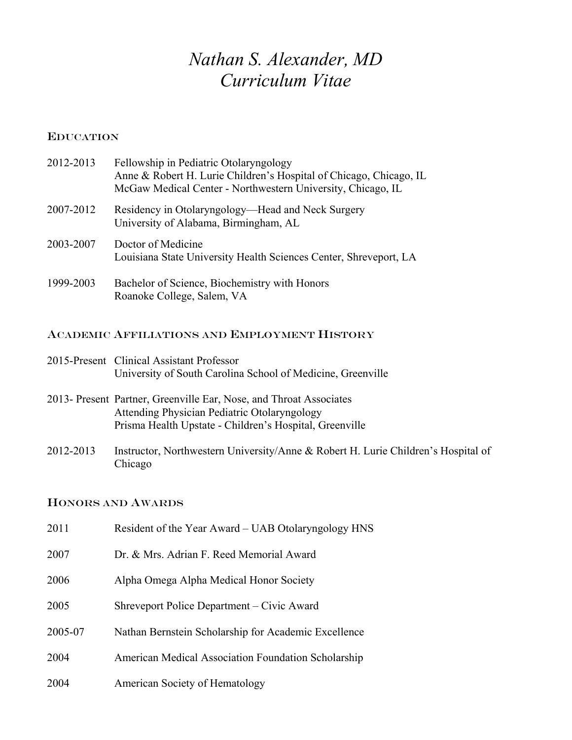# *Nathan S. Alexander, MD Curriculum Vitae*

## EDUCATION

| 2012-2013 | Fellowship in Pediatric Otolaryngology<br>Anne & Robert H. Lurie Children's Hospital of Chicago, Chicago, IL<br>McGaw Medical Center - Northwestern University, Chicago, IL |
|-----------|-----------------------------------------------------------------------------------------------------------------------------------------------------------------------------|
| 2007-2012 | Residency in Otolaryngology—Head and Neck Surgery<br>University of Alabama, Birmingham, AL                                                                                  |
| 2003-2007 | Doctor of Medicine<br>Louisiana State University Health Sciences Center, Shreveport, LA                                                                                     |
| 1999-2003 | Bachelor of Science, Biochemistry with Honors<br>Roanoke College, Salem, VA                                                                                                 |

# ACADEMIC AFFILIATIONS AND EMPLOYMENT HISTORY

| 2015-Present Clinical Assistant Professor                   |
|-------------------------------------------------------------|
| University of South Carolina School of Medicine, Greenville |

- 2013- Present Partner, Greenville Ear, Nose, and Throat Associates Attending Physician Pediatric Otolaryngology Prisma Health Upstate - Children's Hospital, Greenville
- 2012-2013 Instructor, Northwestern University/Anne & Robert H. Lurie Children's Hospital of Chicago

## HONORS AND AWARDS

| 2011    | Resident of the Year Award - UAB Otolaryngology HNS  |
|---------|------------------------------------------------------|
| 2007    | Dr. & Mrs. Adrian F. Reed Memorial Award             |
| 2006    | Alpha Omega Alpha Medical Honor Society              |
| 2005    | Shreveport Police Department – Civic Award           |
| 2005-07 | Nathan Bernstein Scholarship for Academic Excellence |
| 2004    | American Medical Association Foundation Scholarship  |
| 2004    | <b>American Society of Hematology</b>                |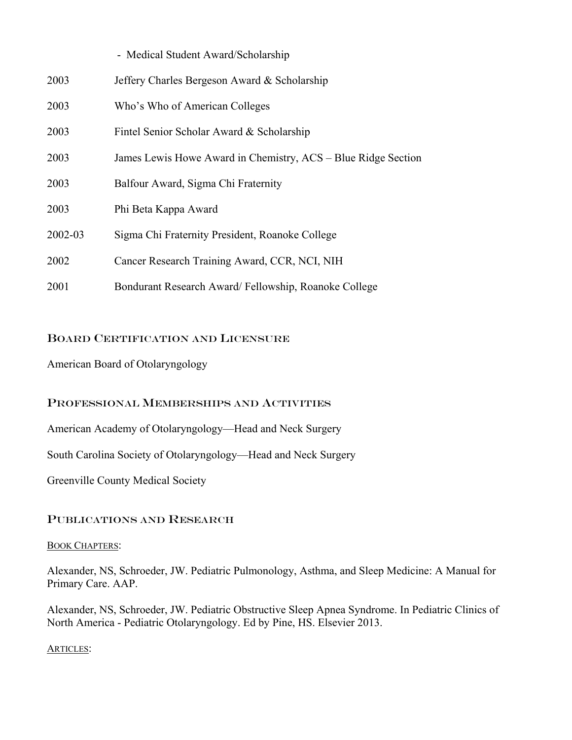|         | - Medical Student Award/Scholarship                           |
|---------|---------------------------------------------------------------|
| 2003    | Jeffery Charles Bergeson Award & Scholarship                  |
| 2003    | Who's Who of American Colleges                                |
| 2003    | Fintel Senior Scholar Award & Scholarship                     |
| 2003    | James Lewis Howe Award in Chemistry, ACS - Blue Ridge Section |
| 2003    | Balfour Award, Sigma Chi Fraternity                           |
| 2003    | Phi Beta Kappa Award                                          |
| 2002-03 | Sigma Chi Fraternity President, Roanoke College               |
| 2002    | Cancer Research Training Award, CCR, NCI, NIH                 |
| 2001    | Bondurant Research Award/Fellowship, Roanoke College          |

## BOARD CERTIFICATION AND LICENSURE

American Board of Otolaryngology

## PROFESSIONAL MEMBERSHIPS AND ACTIVITIES

American Academy of Otolaryngology—Head and Neck Surgery

South Carolina Society of Otolaryngology—Head and Neck Surgery

Greenville County Medical Society

# PUBLICATIONS AND RESEARCH

#### BOOK CHAPTERS:

Alexander, NS, Schroeder, JW. Pediatric Pulmonology, Asthma, and Sleep Medicine: A Manual for Primary Care. AAP.

Alexander, NS, Schroeder, JW. Pediatric Obstructive Sleep Apnea Syndrome. In Pediatric Clinics of North America - Pediatric Otolaryngology. Ed by Pine, HS. Elsevier 2013.

## ARTICLES: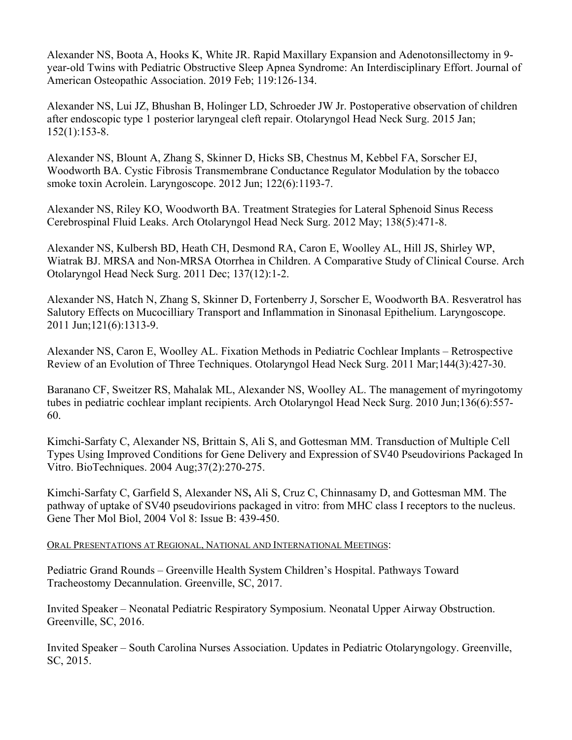Alexander NS, Boota A, Hooks K, White JR. Rapid Maxillary Expansion and Adenotonsillectomy in 9 year-old Twins with Pediatric Obstructive Sleep Apnea Syndrome: An Interdisciplinary Effort. Journal of American Osteopathic Association. 2019 Feb; 119:126-134.

Alexander NS, Lui JZ, Bhushan B, Holinger LD, Schroeder JW Jr. Postoperative observation of children after endoscopic type 1 posterior laryngeal cleft repair. Otolaryngol Head Neck Surg. 2015 Jan; 152(1):153-8.

Alexander NS, Blount A, Zhang S, Skinner D, Hicks SB, Chestnus M, Kebbel FA, Sorscher EJ, Woodworth BA. Cystic Fibrosis Transmembrane Conductance Regulator Modulation by the tobacco smoke toxin Acrolein. Laryngoscope. 2012 Jun; 122(6):1193-7.

Alexander NS, Riley KO, Woodworth BA. Treatment Strategies for Lateral Sphenoid Sinus Recess Cerebrospinal Fluid Leaks. Arch Otolaryngol Head Neck Surg. 2012 May; 138(5):471-8.

Alexander NS, Kulbersh BD, Heath CH, Desmond RA, Caron E, Woolley AL, Hill JS, Shirley WP, Wiatrak BJ. MRSA and Non-MRSA Otorrhea in Children. A Comparative Study of Clinical Course. Arch Otolaryngol Head Neck Surg. 2011 Dec; 137(12):1-2.

Alexander NS, Hatch N, Zhang S, Skinner D, Fortenberry J, Sorscher E, Woodworth BA. Resveratrol has Salutory Effects on Mucocilliary Transport and Inflammation in Sinonasal Epithelium. Laryngoscope. 2011 Jun;121(6):1313-9.

Alexander NS, Caron E, Woolley AL. Fixation Methods in Pediatric Cochlear Implants – Retrospective Review of an Evolution of Three Techniques. Otolaryngol Head Neck Surg. 2011 Mar;144(3):427-30.

Baranano CF, Sweitzer RS, Mahalak ML, Alexander NS, Woolley AL. The management of myringotomy tubes in pediatric cochlear implant recipients. Arch Otolaryngol Head Neck Surg. 2010 Jun;136(6):557- 60.

Kimchi-Sarfaty C, Alexander NS, Brittain S, Ali S, and Gottesman MM. Transduction of Multiple Cell Types Using Improved Conditions for Gene Delivery and Expression of SV40 Pseudovirions Packaged In Vitro. BioTechniques. 2004 Aug;37(2):270-275.

Kimchi-Sarfaty C, Garfield S, Alexander NS**,** Ali S, Cruz C, Chinnasamy D, and Gottesman MM. The pathway of uptake of SV40 pseudovirions packaged in vitro: from MHC class I receptors to the nucleus. Gene Ther Mol Biol, 2004 Vol 8: Issue B: 439-450.

# ORAL PRESENTATIONS AT REGIONAL, NATIONAL AND INTERNATIONAL MEETINGS:

Pediatric Grand Rounds – Greenville Health System Children's Hospital. Pathways Toward Tracheostomy Decannulation. Greenville, SC, 2017.

Invited Speaker – Neonatal Pediatric Respiratory Symposium. Neonatal Upper Airway Obstruction. Greenville, SC, 2016.

Invited Speaker – South Carolina Nurses Association. Updates in Pediatric Otolaryngology. Greenville, SC, 2015.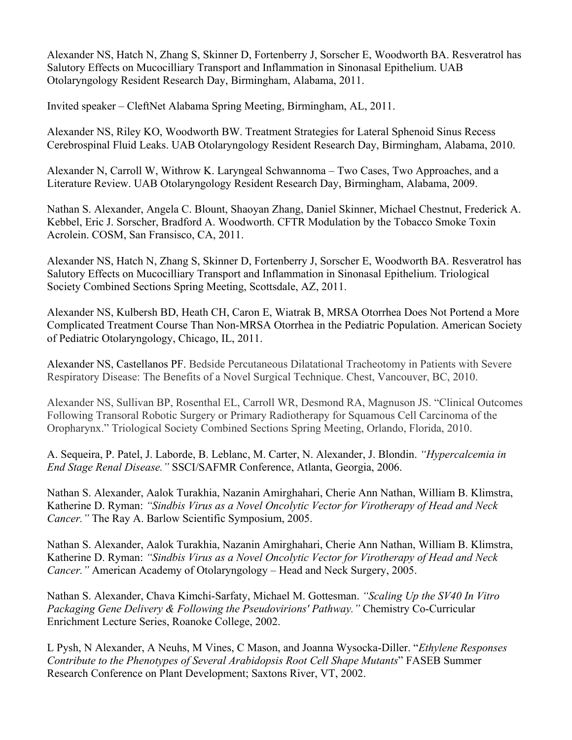Alexander NS, Hatch N, Zhang S, Skinner D, Fortenberry J, Sorscher E, Woodworth BA. Resveratrol has Salutory Effects on Mucocilliary Transport and Inflammation in Sinonasal Epithelium. UAB Otolaryngology Resident Research Day, Birmingham, Alabama, 2011.

Invited speaker – CleftNet Alabama Spring Meeting, Birmingham, AL, 2011.

Alexander NS, Riley KO, Woodworth BW. Treatment Strategies for Lateral Sphenoid Sinus Recess Cerebrospinal Fluid Leaks. UAB Otolaryngology Resident Research Day, Birmingham, Alabama, 2010.

Alexander N, Carroll W, Withrow K. Laryngeal Schwannoma – Two Cases, Two Approaches, and a Literature Review. UAB Otolaryngology Resident Research Day, Birmingham, Alabama, 2009.

Nathan S. Alexander, Angela C. Blount, Shaoyan Zhang, Daniel Skinner, Michael Chestnut, Frederick A. Kebbel, Eric J. Sorscher, Bradford A. Woodworth. CFTR Modulation by the Tobacco Smoke Toxin Acrolein. COSM, San Fransisco, CA, 2011.

Alexander NS, Hatch N, Zhang S, Skinner D, Fortenberry J, Sorscher E, Woodworth BA. Resveratrol has Salutory Effects on Mucocilliary Transport and Inflammation in Sinonasal Epithelium. Triological Society Combined Sections Spring Meeting, Scottsdale, AZ, 2011.

Alexander NS, Kulbersh BD, Heath CH, Caron E, Wiatrak B, MRSA Otorrhea Does Not Portend a More Complicated Treatment Course Than Non-MRSA Otorrhea in the Pediatric Population. American Society of Pediatric Otolaryngology, Chicago, IL, 2011.

Alexander NS, Castellanos PF. Bedside Percutaneous Dilatational Tracheotomy in Patients with Severe Respiratory Disease: The Benefits of a Novel Surgical Technique. Chest, Vancouver, BC, 2010.

Alexander NS, Sullivan BP, Rosenthal EL, Carroll WR, Desmond RA, Magnuson JS. "Clinical Outcomes Following Transoral Robotic Surgery or Primary Radiotherapy for Squamous Cell Carcinoma of the Oropharynx." Triological Society Combined Sections Spring Meeting, Orlando, Florida, 2010.

A. Sequeira, P. Patel, J. Laborde, B. Leblanc, M. Carter, N. Alexander, J. Blondin. *"Hypercalcemia in End Stage Renal Disease."* SSCI/SAFMR Conference, Atlanta, Georgia, 2006.

Nathan S. Alexander, Aalok Turakhia, Nazanin Amirghahari, Cherie Ann Nathan, William B. Klimstra, Katherine D. Ryman: *"Sindbis Virus as a Novel Oncolytic Vector for Virotherapy of Head and Neck Cancer."* The Ray A. Barlow Scientific Symposium, 2005.

Nathan S. Alexander, Aalok Turakhia, Nazanin Amirghahari, Cherie Ann Nathan, William B. Klimstra, Katherine D. Ryman: *"Sindbis Virus as a Novel Oncolytic Vector for Virotherapy of Head and Neck Cancer."* American Academy of Otolaryngology – Head and Neck Surgery, 2005.

Nathan S. Alexander, Chava Kimchi-Sarfaty, Michael M. Gottesman. *"Scaling Up the SV40 In Vitro Packaging Gene Delivery & Following the Pseudovirions' Pathway."* Chemistry Co-Curricular Enrichment Lecture Series, Roanoke College, 2002.

L Pysh, N Alexander, A Neuhs, M Vines, C Mason, and Joanna Wysocka-Diller. "*Ethylene Responses Contribute to the Phenotypes of Several Arabidopsis Root Cell Shape Mutants*" FASEB Summer Research Conference on Plant Development; Saxtons River, VT, 2002.